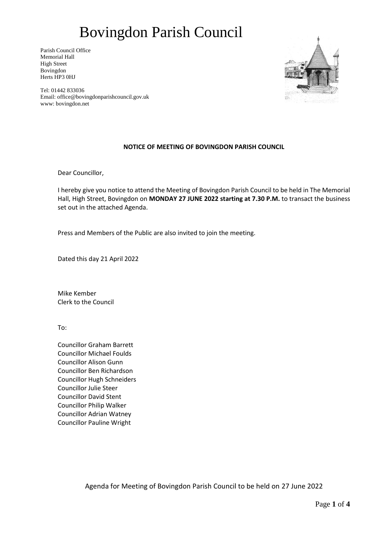Parish Council Office Memorial Hall High Street Bovingdon Herts HP3 0HJ



Tel: 01442 833036 Email: office@bovingdonparishcouncil.gov.uk www: bovingdon.net

### **NOTICE OF MEETING OF BOVINGDON PARISH COUNCIL**

Dear Councillor,

I hereby give you notice to attend the Meeting of Bovingdon Parish Council to be held in The Memorial Hall, High Street, Bovingdon on **MONDAY 27 JUNE 2022 starting at 7.30 P.M.** to transact the business set out in the attached Agenda.

Press and Members of the Public are also invited to join the meeting.

Dated this day 21 April 2022

Mike Kember Clerk to the Council

To:

Councillor Graham Barrett Councillor Michael Foulds Councillor Alison Gunn Councillor Ben Richardson Councillor Hugh Schneiders Councillor Julie Steer Councillor David Stent Councillor Philip Walker Councillor Adrian Watney Councillor Pauline Wright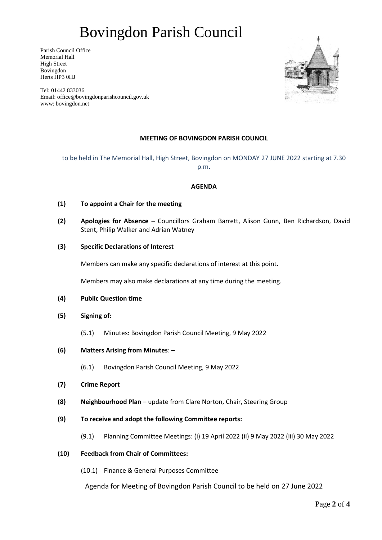Parish Council Office Memorial Hall High Street Bovingdon Herts HP3 0HJ

Tel: 01442 833036 Email: office@bovingdonparishcouncil.gov.uk www: bovingdon.net

### **MEETING OF BOVINGDON PARISH COUNCIL**

to be held in The Memorial Hall, High Street, Bovingdon on MONDAY 27 JUNE 2022 starting at 7.30 p.m.

#### **AGENDA**

- **(1) To appoint a Chair for the meeting**
- **(2) Apologies for Absence –** Councillors Graham Barrett, Alison Gunn, Ben Richardson, David Stent, Philip Walker and Adrian Watney
- **(3) Specific Declarations of Interest**

Members can make any specific declarations of interest at this point.

Members may also make declarations at any time during the meeting.

- **(4) Public Question time**
- **(5) Signing of:** 
	- (5.1) Minutes: Bovingdon Parish Council Meeting, 9 May 2022
- **(6) Matters Arising from Minutes**:
	- (6.1) Bovingdon Parish Council Meeting, 9 May 2022
- **(7) Crime Report**
- **(8) Neighbourhood Plan** update from Clare Norton, Chair, Steering Group
- **(9) To receive and adopt the following Committee reports:**
	- (9.1) Planning Committee Meetings: (i) 19 April 2022 (ii) 9 May 2022 (iii) 30 May 2022

### **(10) Feedback from Chair of Committees:**

(10.1) Finance & General Purposes Committee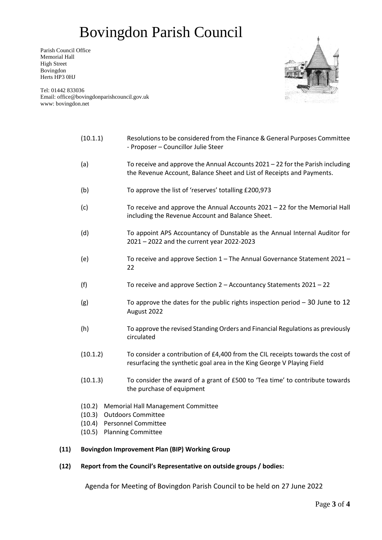Parish Council Office Memorial Hall High Street Bovingdon Herts HP3 0HJ



Tel: 01442 833036 Email: office@bovingdonparishcouncil.gov.uk www: bovingdon.net

| (10.1.1)                                                                                                                           | Resolutions to be considered from the Finance & General Purposes Committee<br>- Proposer - Councillor Julie Steer                                        |
|------------------------------------------------------------------------------------------------------------------------------------|----------------------------------------------------------------------------------------------------------------------------------------------------------|
| (a)                                                                                                                                | To receive and approve the Annual Accounts $2021 - 22$ for the Parish including<br>the Revenue Account, Balance Sheet and List of Receipts and Payments. |
| (b)                                                                                                                                | To approve the list of 'reserves' totalling £200,973                                                                                                     |
| (c)                                                                                                                                | To receive and approve the Annual Accounts 2021 - 22 for the Memorial Hall<br>including the Revenue Account and Balance Sheet.                           |
| (d)                                                                                                                                | To appoint APS Accountancy of Dunstable as the Annual Internal Auditor for<br>2021 - 2022 and the current year 2022-2023                                 |
| (e)                                                                                                                                | To receive and approve Section 1 - The Annual Governance Statement 2021 -<br>22                                                                          |
| (f)                                                                                                                                | To receive and approve Section 2 - Accountancy Statements 2021 - 22                                                                                      |
| (g)                                                                                                                                | To approve the dates for the public rights inspection period $-30$ June to 12<br>August 2022                                                             |
| (h)                                                                                                                                | To approve the revised Standing Orders and Financial Regulations as previously<br>circulated                                                             |
| (10.1.2)                                                                                                                           | To consider a contribution of £4,400 from the CIL receipts towards the cost of<br>resurfacing the synthetic goal area in the King George V Playing Field |
| (10.1.3)                                                                                                                           | To consider the award of a grant of £500 to 'Tea time' to contribute towards<br>the purchase of equipment                                                |
| (10.2)<br><b>Memorial Hall Management Committee</b><br><b>Outdoors Committee</b><br>(10.3)<br><b>Personnel Committee</b><br>(10.4) |                                                                                                                                                          |

(10.5) Planning Committee

### **(11) Bovingdon Improvement Plan (BIP) Working Group**

#### **(12) Report from the Council's Representative on outside groups / bodies:**